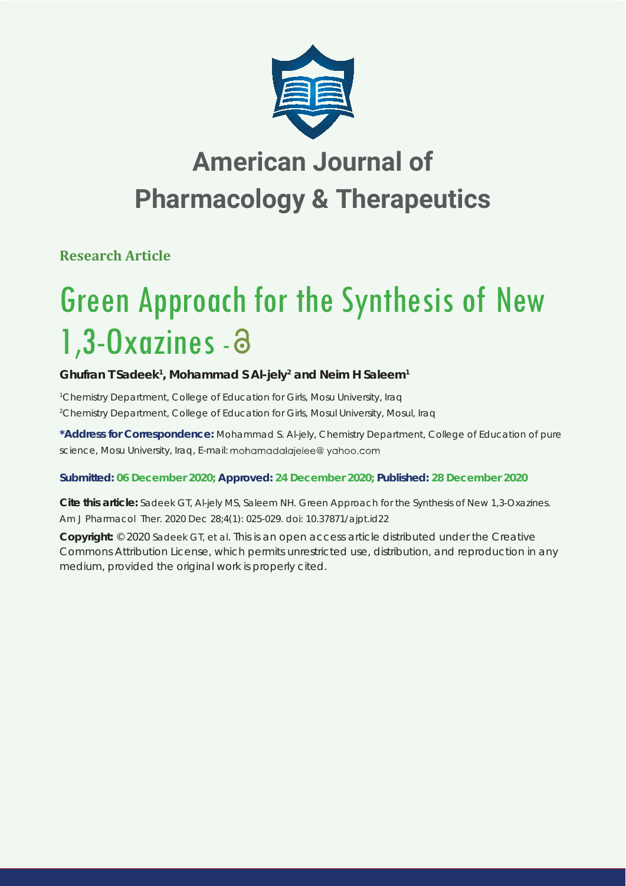

## **American Journal of Pharmacology & Therapeutics**

**Research Article**

# Green Approach for the Synthesis of New 1,3-Oxazines -

## Ghufran T Sadeek<sup>1</sup>, Mohammad S AI-jely<sup>2</sup> and Neim H Saleem<sup>1</sup>

*1 Chemistry Department, College of Education for Girls, Mosu University, Iraq 2 Chemistry Department, College of Education for Girls, Mosul University, Mosul, Iraq*

**\*Address for Correspondence:** Mohammad S. Al-jely, Chemistry Department, College of Education of pure science, Mosu University, Iraq, E-mail: mohamadalajelee@yahoo.com

## **Submitted: 06 December 2020; Approved: 24 December 2020; Published: 28 December 2020**

**Cite this article:** Sadeek GT, Al-jely MS, Saleem NH. Green Approach for the Synthesis of New 1,3-Oxazines. Am J Pharmacol Ther. 2020 Dec 28;4(1): 025-029. doi: 10.37871/ajpt.id22

**Copyright:** © 2020 Sadeek GT, et al. This is an open access article distributed under the Creative Commons Attribution License, which permits unrestricted use, distribution, and reproduction in any medium, provided the original work is properly cited.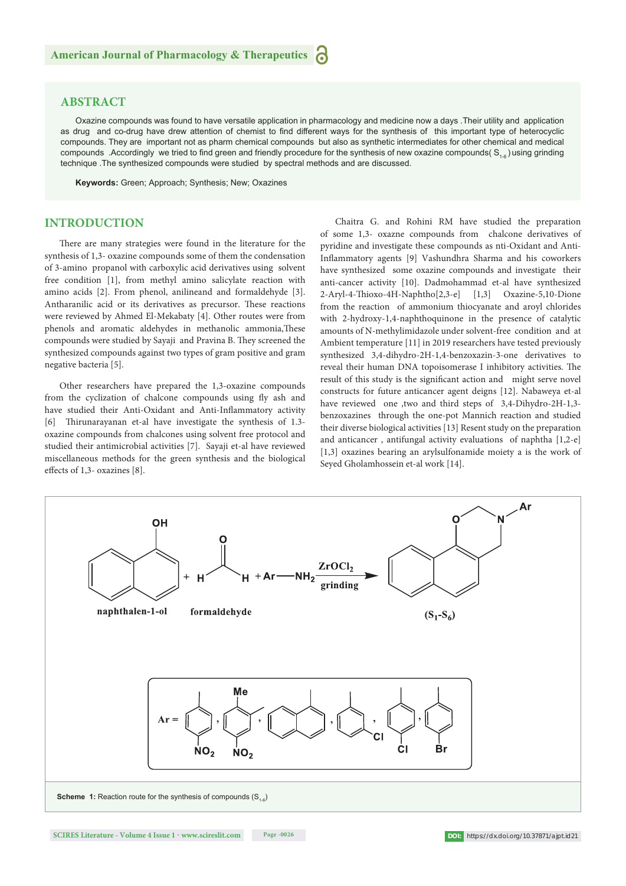#### **ABSTRACT**

Oxazine compounds was found to have versatile application in pharmacology and medicine now a days .Their utility and application as drug and co-drug have drew attention of chemist to find different ways for the synthesis of this important type of heterocyclic compounds. They are important not as pharm chemical compounds but also as synthetic intermediates for other chemical and medical compounds .Accordingly we tried to find green and friendly procedure for the synthesis of new oxazine compounds( $S_{1.6}$ ) using grinding technique .The synthesized compounds were studied by spectral methods and are discussed.

**Keywords:** Green; Approach; Synthesis; New; Oxazines

### **INTRODUCTION**

There are many strategies were found in the literature for the synthesis of 1,3- oxazine compounds some of them the condensation of 3-amino propanol with carboxylic acid derivatives using solvent free condition [1], from methyl amino salicylate reaction with amino acids [2]. From phenol, anilineand and formaldehyde [3]. Antharanilic acid or its derivatives as precursor. These reactions were reviewed by Ahmed El-Mekabaty [4]. Other routes were from phenols and aromatic aldehydes in methanolic ammonia, These compounds were studied by Sayaji and Pravina B. They screened the synthesized compounds against two types of gram positive and gram negative bacteria [5].

Other researchers have prepared the 1,3-oxazine compounds from the cyclization of chalcone compounds using fly ash and have studied their Anti-Oxidant and Anti-Inflammatory activity [6] Thirunarayanan et-al have investigate the synthesis of 1.3oxazine compounds from chalcones using solvent free protocol and studied their antimicrobial activities [7]. Sayaji et-al have reviewed miscellaneous methods for the green synthesis and the biological effects of 1,3- oxazines [8].

Chaitra G. and Rohini RM have studied the preparation of some 1,3- oxazne compounds from chalcone derivatives of pyridine and investigate these compounds as nti-Oxidant and Anti-Inflammatory agents [9] Vashundhra Sharma and his coworkers have synthesized some oxazine compounds and investigate their anti-cancer activity [10]. Dadmohammad et-al have synthesized 2-Aryl-4-Thioxo-4H-Naphtho[2,3-e] [1,3] Oxazine-5,10-Dione from the reaction of ammonium thiocyanate and aroyl chlorides with 2-hydroxy-1,4-naphthoquinone in the presence of catalytic amounts of N-methylimidazole under solvent-free condition and at Ambient temperature [11] in 2019 researchers have tested previously synthesized 3,4-dihydro-2H-1,4-benzoxazin-3-one derivatives to reveal their human DNA topoisomerase I inhibitory activities. The result of this study is the significant action and might serve novel constructs for future anticancer agent deigns [12]. Nabaweya et-al have reviewed one ,two and third steps of 3,4-Dihydro-2H-1,3benzoxazines through the one-pot Mannich reaction and studied their diverse biological activities [13] Resent study on the preparation and anticancer , antifungal activity evaluations of naphtha [1,2-e] [1,3] oxazines bearing an arylsulfonamide moiety a is the work of Seyed Gholamhossein et-al work [14].

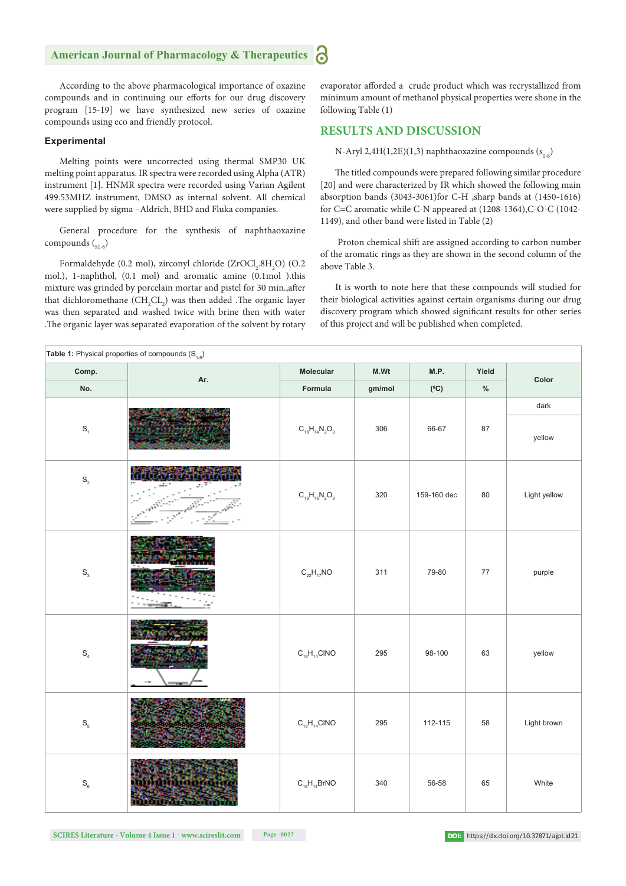#### ခြ **American Journal of Pharmacology & Therapeutics**

According to the above pharmacological importance of oxazine compounds and in continuing our efforts for our drug discovery program [15-19] we have synthesized new series of oxazine compounds using eco and friendly protocol.

#### **Experimental**

Melting points were uncorrected using thermal SMP30 UK melting point apparatus. IR spectra were recorded using Alpha (ATR) instrument [1]. HNMR spectra were recorded using Varian Agilent 499.53MHZ instrument, DMSO as internal solvent. All chemical were supplied by sigma –Aldrich, BHD and Fluka companies.

General procedure for the synthesis of naphthaoxazine compounds  $\binom{1}{s+1-6}$ 

Formaldehyde (0.2 mol), zirconyl chloride (ZrOCl<sub>2</sub>.8H<sub>2</sub>O) (O.2 mol.), 1-naphthol, (0.1 mol) and aromatic amine (0.1mol ).this mixture was grinded by porcelain mortar and pistel for 30 min., after that dichloromethane  $(CH_2CL_2)$  was then added .The organic layer was then separated and washed twice with brine then with water .The organic layer was separated evaporation of the solvent by rotary

evaporator afforded a crude product which was recrystallized from minimum amount of methanol physical properties were shone in the following Table (1)

#### **RESULTS AND DISCUSSION**

N-Aryl 2,4H(1,2E)(1,3) naphthaoxazine compounds  $(s_{1.6})$ 

The titled compounds were prepared following similar procedure [20] and were characterized by IR which showed the following main absorption bands (3043-3061)for C-H ,sharp bands at (1450-1616) for C=C aromatic while C-N appeared at (1208-1364),C-O-C (1042- 1149), and other band were listed in Table (2)

 Proton chemical shift are assigned according to carbon number of the aromatic rings as they are shown in the second column of the above Table 3.

It is worth to note here that these compounds will studied for their biological activities against certain organisms during our drug discovery program which showed significant results for other series of this project and will be published when completed.

| Table 1: Physical properties of compounds $(S_{1-6})$ |                   |                      |        |               |        |              |  |  |  |
|-------------------------------------------------------|-------------------|----------------------|--------|---------------|--------|--------------|--|--|--|
| Comp.                                                 |                   | Molecular            | M.Wt   | M.P.          | Yield  | Color        |  |  |  |
| No.                                                   | Ar.               | Formula              | gm/mol | $(^{\circ}C)$ | $\%$   |              |  |  |  |
|                                                       |                   |                      |        |               |        | dark         |  |  |  |
| $\mathbb{S}_{\mathbf{1}}$                             |                   | $C_{18}H_{14}N_2O_3$ | 306    | 66-67         | 87     | yellow       |  |  |  |
| $\mathbb{S}_{\scriptscriptstyle 2}$                   |                   | $C_{19}H_{16}N_2O_3$ | 320    | 159-160 dec   | $80\,$ | Light yellow |  |  |  |
| $\mathbb{S}^{}_{_{3}}$                                |                   | $C_{22}H_{17}NO$     | 311    | 79-80         | $77\,$ | purple       |  |  |  |
| $\mathbb{S}_4$                                        |                   | $C_{18}H_{14}CINO$   | 295    | 98-100        | 63     | yellow       |  |  |  |
| $\mathbb{S}_{_{\!5}}$                                 |                   | $C_{18}H_{14}CINO$   | 295    | 112-115       | 58     | Light brown  |  |  |  |
| $\mathbb{S}_{_{6}}$                                   | <b>MODULO VII</b> | $C_{18}H_{14}BrNO$   | 340    | 56-58         | 65     | White        |  |  |  |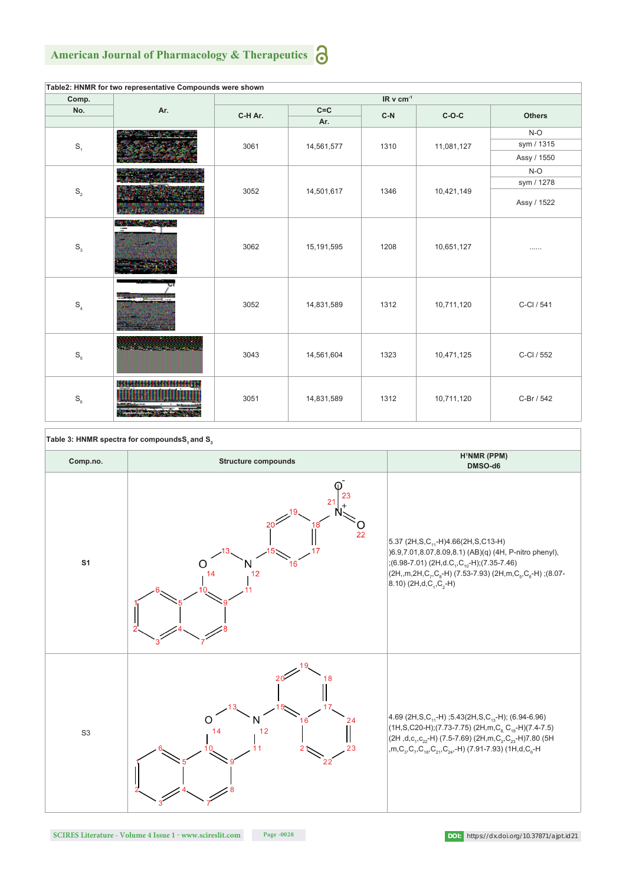#### **American Journal of Pharmacology & Therapeutics** 6

| Table2: HNMR for two representative Compounds were shown |                               |                       |            |       |            |               |  |  |  |  |
|----------------------------------------------------------|-------------------------------|-----------------------|------------|-------|------------|---------------|--|--|--|--|
| Comp.<br>No.                                             | Ar.                           | IR v cm <sup>-1</sup> |            |       |            |               |  |  |  |  |
|                                                          |                               | C-H Ar.               | $C = C$    | $C-N$ | $C-O-C$    | <b>Others</b> |  |  |  |  |
|                                                          |                               |                       | Ar.        |       |            |               |  |  |  |  |
| $\mathbb{S}_1$                                           |                               | 3061                  | 14,561,577 | 1310  | 11,081,127 | $N-O$         |  |  |  |  |
|                                                          |                               |                       |            |       |            | sym / 1315    |  |  |  |  |
|                                                          |                               |                       |            |       |            | Assy / 1550   |  |  |  |  |
| $\mathbb{S}_2$                                           |                               | 3052                  | 14,501,617 | 1346  | 10,421,149 | $N-O$         |  |  |  |  |
|                                                          |                               |                       |            |       |            | sym / 1278    |  |  |  |  |
|                                                          |                               |                       |            |       |            | Assy / 1522   |  |  |  |  |
| $\mathbb{S}^{}_{_{3}}$                                   | <b>ALCOHOL: AND RESIDENCE</b> | 3062                  | 15,191,595 | 1208  | 10,651,127 |               |  |  |  |  |
| $\mathbb{S}_4$                                           |                               | 3052                  | 14,831,589 | 1312  | 10,711,120 | C-Cl / 541    |  |  |  |  |
| $\mathbb{S}_5$                                           |                               | 3043                  | 14,561,604 | 1323  | 10,471,125 | C-Cl / 552    |  |  |  |  |
| $\mathbb{S}_{_{6}}$                                      | <b>GEO</b>                    | 3051                  | 14,831,589 | 1312  | 10,711,120 | C-Br / 542    |  |  |  |  |